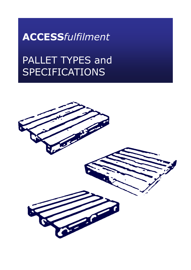**ACCESS***fulfilment*

# PALLET TYPES and SPECIFICATIONS

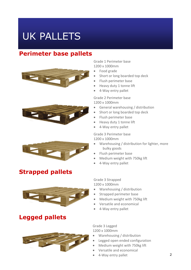# UK PALLETS

### **Perimeter base pallets**





## **Strapped pallets**



### **Legged pallets**

Grade 1 Perimeter base 1200 x 1000mm

- Food grade
- Short or long boarded top deck
- Flush perimeter base
- Heavy duty 1 tonne lift
- 4-Way entry pallet

Grade 2 Perimeter base 1200 x 1000mm

- General warehousing / distribution
- Short or long boarded top deck
- Flush perimeter base
- Heavy duty 1 tonne lift
- 4-Way entry pallet

Grade 3 Perimeter base

1200 x 1000mm

- Warehousing / distribution for lighter, more bulky goods
- Flush perimeter base
- Medium weight with 750kg lift
- 4-Way entry pallet

Grade 3 Strapped

1200 x 1000mm

- Warehousing / distribution
- Strapped perimeter base
- Medium weight with 750kg lift
- Versatile and economical
- 4-Way entry pallet



Grade 3 Legged 1200 x 1000mm

- Warehousing / distribution
- Legged open ended configuration
- Medium weight with 750kg lift
- Versatile and economical
- 4-Way entry pallet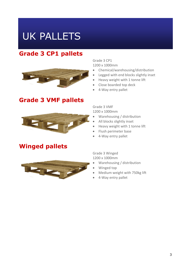# UK PALLETS

## **Grade 3 CP1 pallets**



#### **Grade 3 VMF pallets**



### **Winged pallets**



Grade 3 CP1 1200 x 1000mm

- Chemical/warehousing/distribution
- Legged with end blocks slightly inset
- Heavy weight with 1 tonne lift
- Close boarded top deck
- 4-Way entry pallet

Grade 3 VMF 1200 x 1000mm

- Warehousing / distribution
- All blocks slightly inset
- Heavy weight with 1 tonne lift
- Flush perimeter base
- 4-Way entry pallet

Grade 3 Winged 1200 x 1000mm

- Warehousing / distribution
- Winged top
- Medium weight with 750kg lift
- 4-Way entry pallet